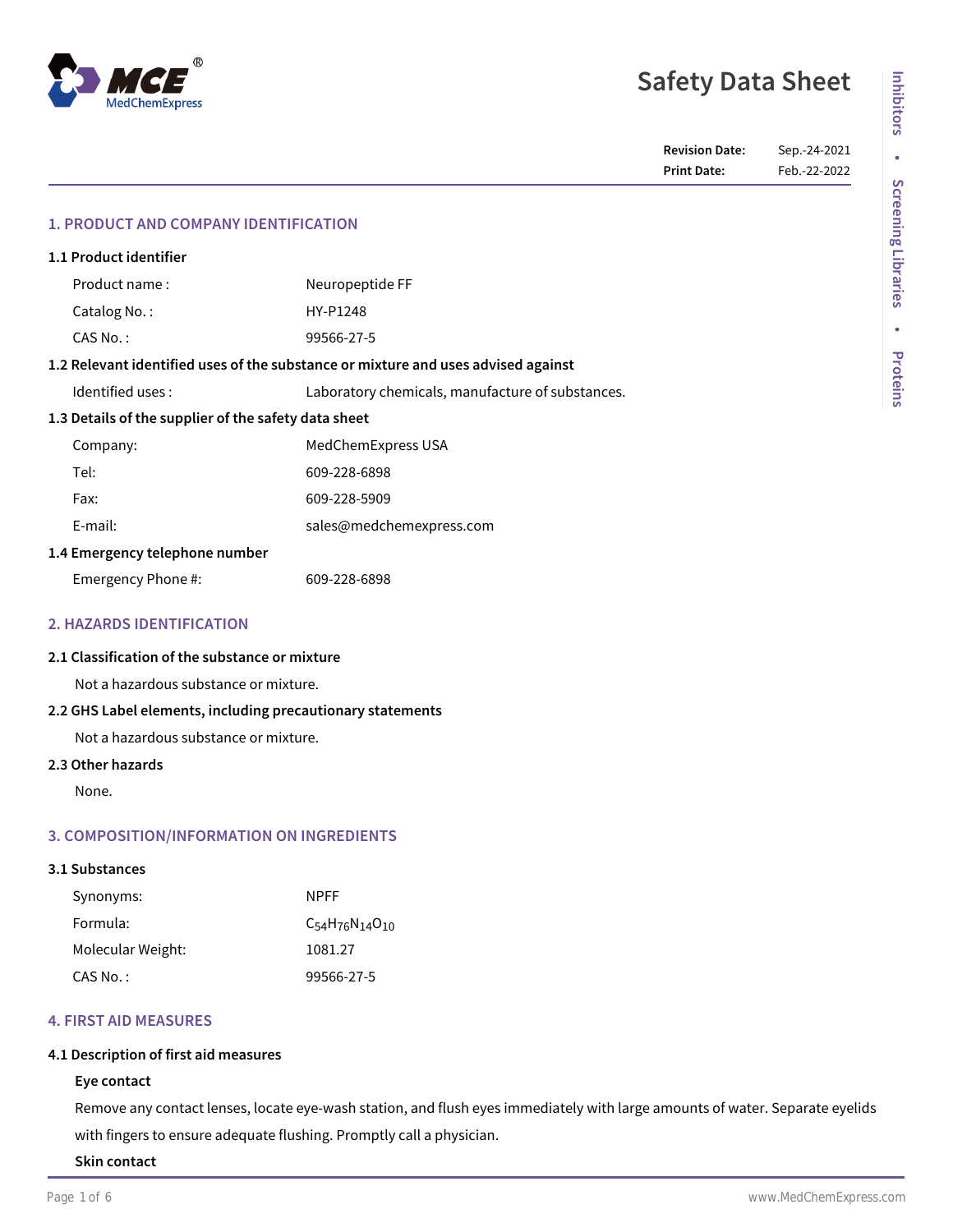# **MedChemExpress**

## **Safety Data Sheet**

**Revision Date:** Sep.-24-2021 **Print Date:** Feb.-22-2022

| 1.1 Product identifier                                                            |  |                                                  |  |  |
|-----------------------------------------------------------------------------------|--|--------------------------------------------------|--|--|
| Product name:                                                                     |  | Neuropeptide FF                                  |  |  |
| Catalog No.:                                                                      |  | HY-P1248                                         |  |  |
| $CAS No.$ :                                                                       |  | 99566-27-5                                       |  |  |
| 1.2 Relevant identified uses of the substance or mixture and uses advised against |  |                                                  |  |  |
| Identified uses:                                                                  |  | Laboratory chemicals, manufacture of substances. |  |  |
| 1.3 Details of the supplier of the safety data sheet                              |  |                                                  |  |  |
| Company:                                                                          |  | MedChemExpress USA                               |  |  |
| Tel:                                                                              |  | 609-228-6898                                     |  |  |
| Fax:                                                                              |  | 609-228-5909                                     |  |  |
| E-mail:                                                                           |  | sales@medchemexpress.com                         |  |  |
| 1.4 Emergency telephone number                                                    |  |                                                  |  |  |
| Emergency Phone #:                                                                |  | 609-228-6898                                     |  |  |

#### **2. HAZARDS IDENTIFICATION**

#### **2.1 Classification of the substance or mixture**

Not a hazardous substance or mixture.

#### **2.2 GHS Label elements, including precautionary statements**

Not a hazardous substance or mixture.

#### **2.3 Other hazards**

None.

#### **3. COMPOSITION/INFORMATION ON INGREDIENTS**

#### **3.1 Substances**

| Synonyms:         | <b>NPFF</b>                |
|-------------------|----------------------------|
| Formula:          | $C_{54}H_{76}N_{14}O_{10}$ |
| Molecular Weight: | 1081.27                    |
| CAS No.:          | 99566-27-5                 |

#### **4. FIRST AID MEASURES**

#### **4.1 Description of first aid measures**

#### **Eye contact**

Remove any contact lenses, locate eye-wash station, and flush eyes immediately with large amounts of water. Separate eyelids with fingers to ensure adequate flushing. Promptly call a physician.

**Skin contact**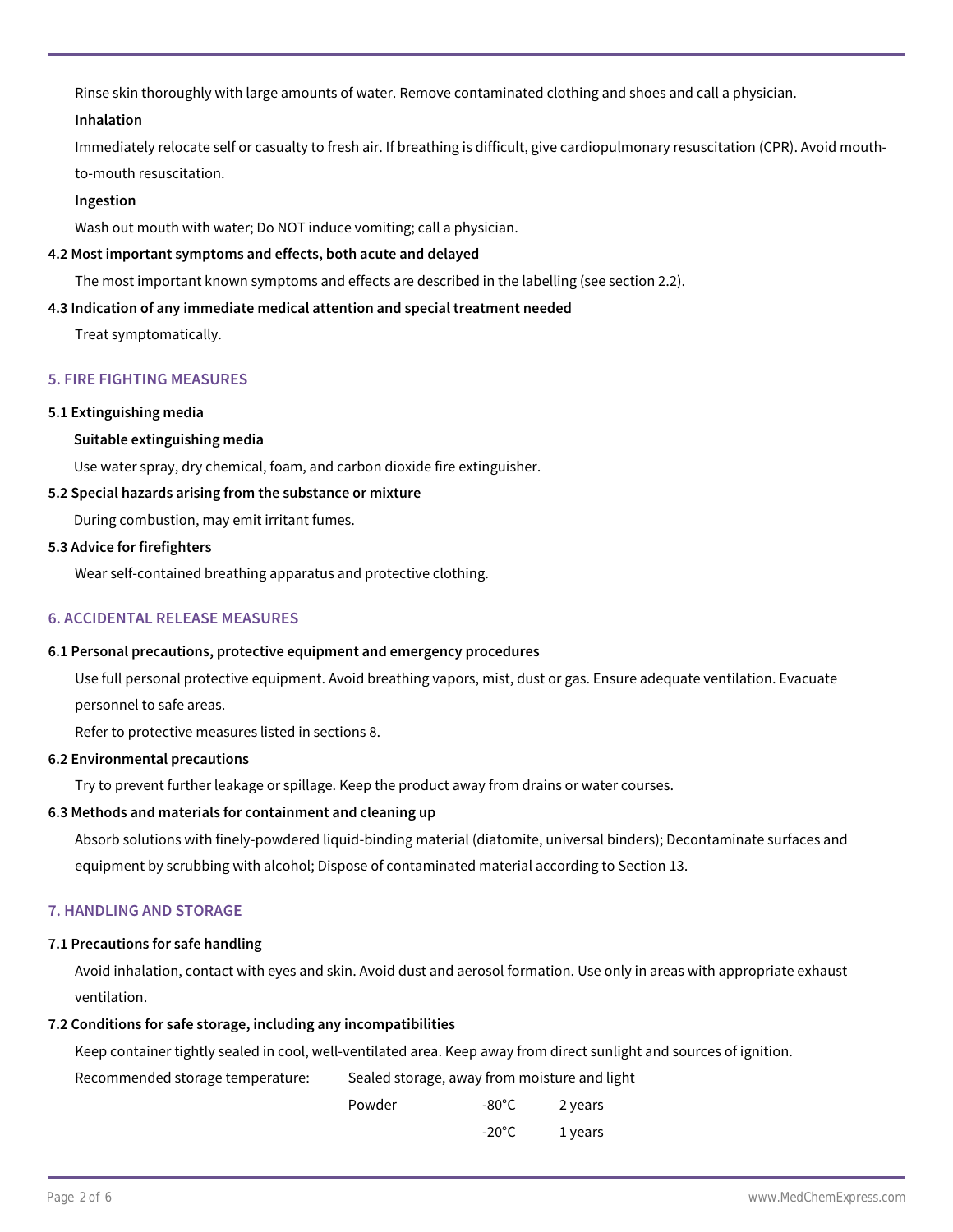Rinse skin thoroughly with large amounts of water. Remove contaminated clothing and shoes and call a physician.

#### **Inhalation**

Immediately relocate self or casualty to fresh air. If breathing is difficult, give cardiopulmonary resuscitation (CPR). Avoid mouthto-mouth resuscitation.

#### **Ingestion**

Wash out mouth with water; Do NOT induce vomiting; call a physician.

#### **4.2 Most important symptoms and effects, both acute and delayed**

The most important known symptoms and effects are described in the labelling (see section 2.2).

#### **4.3 Indication of any immediate medical attention and special treatment needed**

Treat symptomatically.

#### **5. FIRE FIGHTING MEASURES**

#### **5.1 Extinguishing media**

#### **Suitable extinguishing media**

Use water spray, dry chemical, foam, and carbon dioxide fire extinguisher.

#### **5.2 Special hazards arising from the substance or mixture**

During combustion, may emit irritant fumes.

#### **5.3 Advice for firefighters**

Wear self-contained breathing apparatus and protective clothing.

#### **6. ACCIDENTAL RELEASE MEASURES**

#### **6.1 Personal precautions, protective equipment and emergency procedures**

Use full personal protective equipment. Avoid breathing vapors, mist, dust or gas. Ensure adequate ventilation. Evacuate personnel to safe areas.

Refer to protective measures listed in sections 8.

#### **6.2 Environmental precautions**

Try to prevent further leakage or spillage. Keep the product away from drains or water courses.

#### **6.3 Methods and materials for containment and cleaning up**

Absorb solutions with finely-powdered liquid-binding material (diatomite, universal binders); Decontaminate surfaces and equipment by scrubbing with alcohol; Dispose of contaminated material according to Section 13.

#### **7. HANDLING AND STORAGE**

#### **7.1 Precautions for safe handling**

Avoid inhalation, contact with eyes and skin. Avoid dust and aerosol formation. Use only in areas with appropriate exhaust ventilation.

#### **7.2 Conditions for safe storage, including any incompatibilities**

Keep container tightly sealed in cool, well-ventilated area. Keep away from direct sunlight and sources of ignition.

Sealed storage, away from moisture and light Recommended storage temperature:

| Powder | $-80^{\circ}$ C | 2 years |
|--------|-----------------|---------|
|        | $-20^{\circ}$ C | 1 years |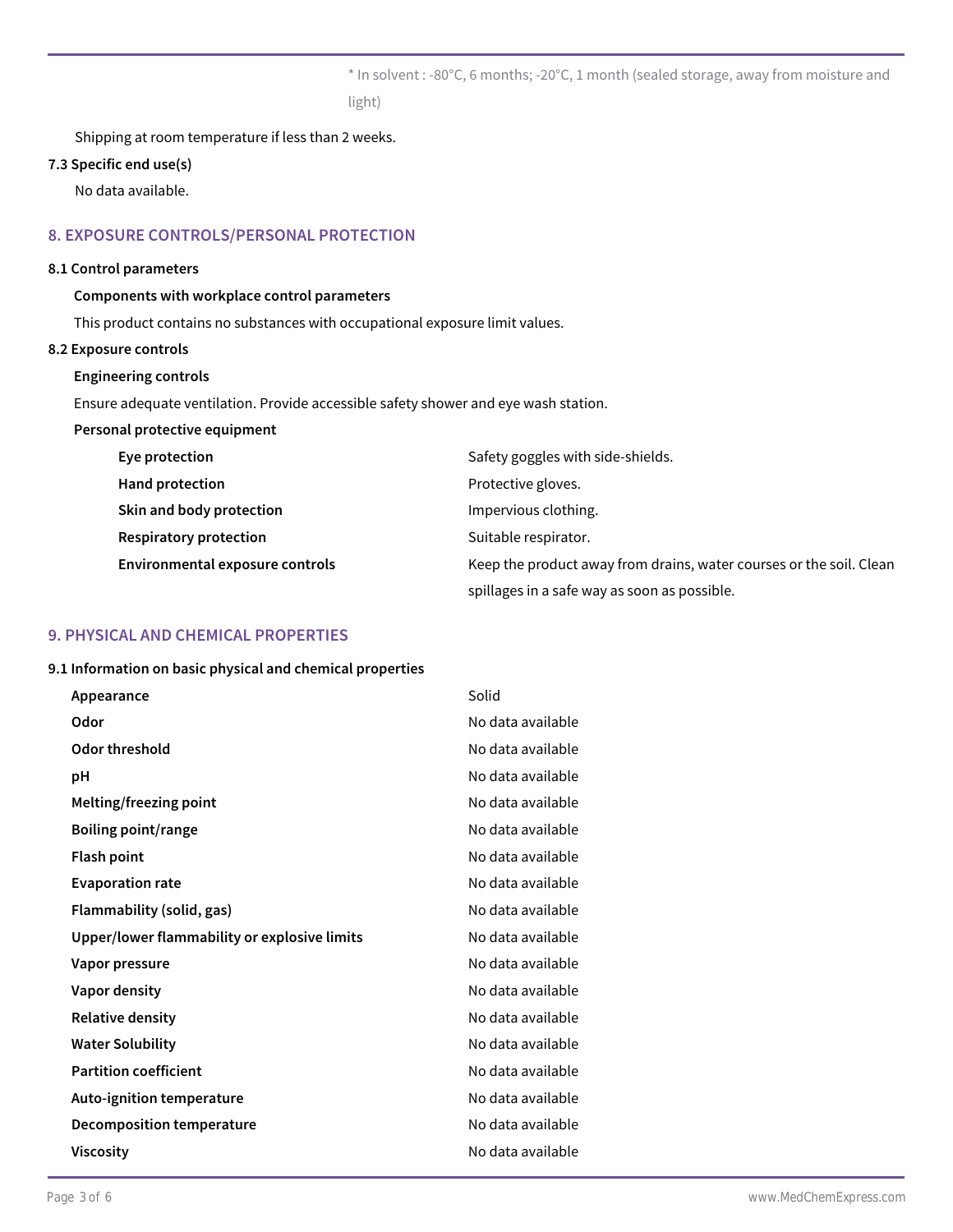\* In solvent : -80°C, 6 months; -20°C, 1 month (sealed storage, away from moisture and light)

Shipping at room temperature if less than 2 weeks.

#### **7.3 Specific end use(s)**

No data available.

#### **8. EXPOSURE CONTROLS/PERSONAL PROTECTION**

#### **8.1 Control parameters**

#### **Components with workplace control parameters**

This product contains no substances with occupational exposure limit values.

#### **8.2 Exposure controls**

#### **Engineering controls**

Ensure adequate ventilation. Provide accessible safety shower and eye wash station.

| Personal protective equipment          |                                                                     |
|----------------------------------------|---------------------------------------------------------------------|
| Eye protection                         | Safety goggles with side-shields.                                   |
| Hand protection                        | Protective gloves.                                                  |
| Skin and body protection               | Impervious clothing.                                                |
| <b>Respiratory protection</b>          | Suitable respirator.                                                |
| <b>Environmental exposure controls</b> | Keep the product away from drains, water courses or the soil. Clean |
|                                        | spillages in a safe way as soon as possible.                        |

#### **9. PHYSICAL AND CHEMICAL PROPERTIES**

#### **9.1 Information on basic physical and chemical properties**

| Appearance                                   | Solid             |
|----------------------------------------------|-------------------|
| Odor                                         | No data available |
| Odor threshold                               | No data available |
| рH                                           | No data available |
| Melting/freezing point                       | No data available |
| <b>Boiling point/range</b>                   | No data available |
| <b>Flash point</b>                           | No data available |
| <b>Evaporation rate</b>                      | No data available |
| Flammability (solid, gas)                    | No data available |
| Upper/lower flammability or explosive limits | No data available |
| Vapor pressure                               | No data available |
| Vapor density                                | No data available |
| <b>Relative density</b>                      | No data available |
| <b>Water Solubility</b>                      | No data available |
| <b>Partition coefficient</b>                 | No data available |
| Auto-ignition temperature                    | No data available |
| Decomposition temperature                    | No data available |
| <b>Viscosity</b>                             | No data available |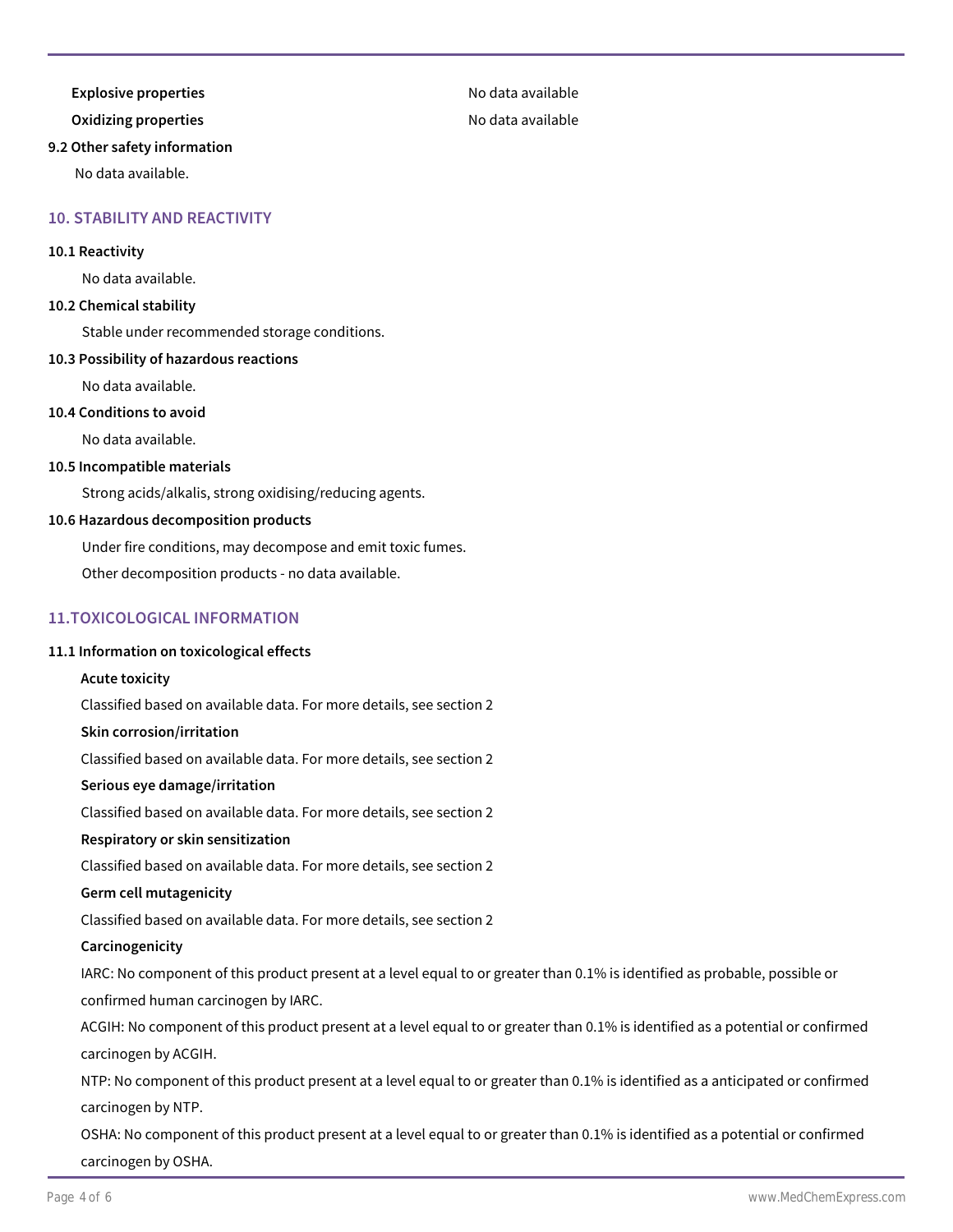**Explosive properties** and the set of the set of the No data available

### **9.2 Other safety information**

No data available.

#### **10. STABILITY AND REACTIVITY**

#### **10.1 Reactivity**

No data available.

#### **10.2 Chemical stability**

Stable under recommended storage conditions.

#### **10.3 Possibility of hazardous reactions**

No data available.

#### **10.4 Conditions to avoid**

No data available.

#### **10.5 Incompatible materials**

Strong acids/alkalis, strong oxidising/reducing agents.

#### **10.6 Hazardous decomposition products**

Under fire conditions, may decompose and emit toxic fumes.

Other decomposition products - no data available.

#### **11.TOXICOLOGICAL INFORMATION**

#### **11.1 Information on toxicological effects**

#### **Acute toxicity**

Classified based on available data. For more details, see section 2

#### **Skin corrosion/irritation**

Classified based on available data. For more details, see section 2

#### **Serious eye damage/irritation**

Classified based on available data. For more details, see section 2

#### **Respiratory or skin sensitization**

Classified based on available data. For more details, see section 2

#### **Germ cell mutagenicity**

Classified based on available data. For more details, see section 2

#### **Carcinogenicity**

IARC: No component of this product present at a level equal to or greater than 0.1% is identified as probable, possible or confirmed human carcinogen by IARC.

ACGIH: No component of this product present at a level equal to or greater than 0.1% is identified as a potential or confirmed carcinogen by ACGIH.

NTP: No component of this product present at a level equal to or greater than 0.1% is identified as a anticipated or confirmed carcinogen by NTP.

OSHA: No component of this product present at a level equal to or greater than 0.1% is identified as a potential or confirmed carcinogen by OSHA.

#### **Oxidizing properties No data available**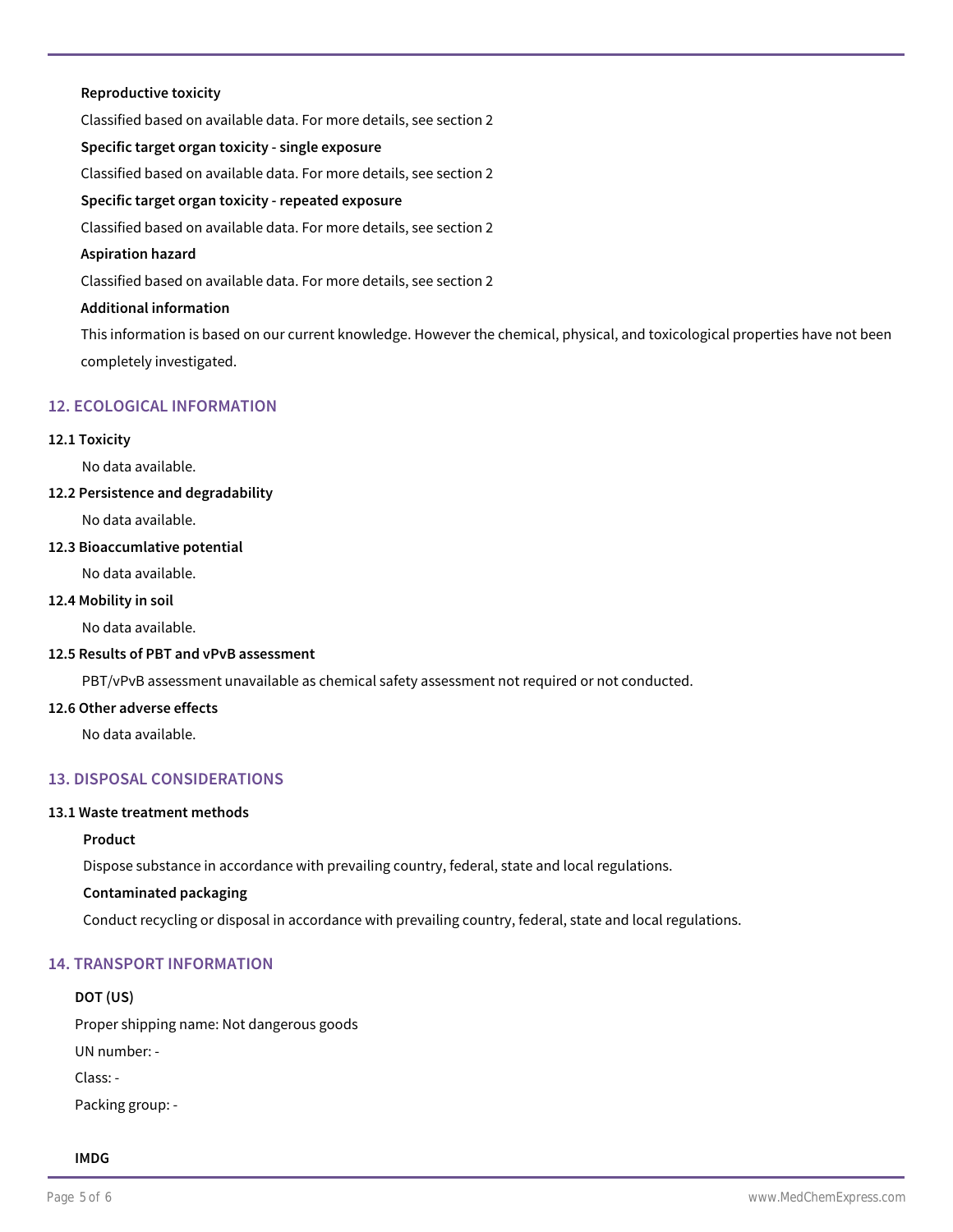#### **Reproductive toxicity**

Classified based on available data. For more details, see section 2 **Specific target organ toxicity - single exposure** Classified based on available data. For more details, see section 2 **Specific target organ toxicity - repeated exposure** Classified based on available data. For more details, see section 2 **Aspiration hazard** Classified based on available data. For more details, see section 2 **Additional information**

This information is based on our current knowledge. However the chemical, physical, and toxicological properties have not been completely investigated.

#### **12. ECOLOGICAL INFORMATION**

#### **12.1 Toxicity**

No data available.

#### **12.2 Persistence and degradability**

No data available.

#### **12.3 Bioaccumlative potential**

No data available.

#### **12.4 Mobility in soil**

No data available.

#### **12.5 Results of PBT and vPvB assessment**

PBT/vPvB assessment unavailable as chemical safety assessment not required or not conducted.

#### **12.6 Other adverse effects**

No data available.

#### **13. DISPOSAL CONSIDERATIONS**

#### **13.1 Waste treatment methods**

#### **Product**

Dispose substance in accordance with prevailing country, federal, state and local regulations.

#### **Contaminated packaging**

Conduct recycling or disposal in accordance with prevailing country, federal, state and local regulations.

#### **14. TRANSPORT INFORMATION**

#### **DOT (US)**

Proper shipping name: Not dangerous goods

UN number: -

Class: -

Packing group: -

#### **IMDG**